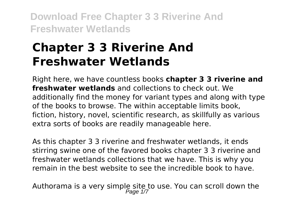# **Chapter 3 3 Riverine And Freshwater Wetlands**

Right here, we have countless books **chapter 3 3 riverine and freshwater wetlands** and collections to check out. We additionally find the money for variant types and along with type of the books to browse. The within acceptable limits book, fiction, history, novel, scientific research, as skillfully as various extra sorts of books are readily manageable here.

As this chapter 3 3 riverine and freshwater wetlands, it ends stirring swine one of the favored books chapter 3 3 riverine and freshwater wetlands collections that we have. This is why you remain in the best website to see the incredible book to have.

Authorama is a very simple site to use. You can scroll down the  $P$ age  $1/7$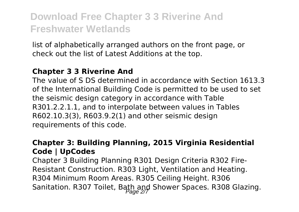list of alphabetically arranged authors on the front page, or check out the list of Latest Additions at the top.

#### **Chapter 3 3 Riverine And**

The value of S DS determined in accordance with Section 1613.3 of the International Building Code is permitted to be used to set the seismic design category in accordance with Table R301.2.2.1.1, and to interpolate between values in Tables R602.10.3(3), R603.9.2(1) and other seismic design requirements of this code.

### **Chapter 3: Building Planning, 2015 Virginia Residential Code | UpCodes**

Chapter 3 Building Planning R301 Design Criteria R302 Fire-Resistant Construction. R303 Light, Ventilation and Heating. R304 Minimum Room Areas. R305 Ceiling Height. R306 Sanitation. R307 Toilet, Bath and Shower Spaces. R308 Glazing.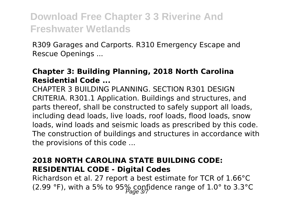R309 Garages and Carports. R310 Emergency Escape and Rescue Openings ...

#### **Chapter 3: Building Planning, 2018 North Carolina Residential Code ...**

CHAPTER 3 BUILDING PLANNING. SECTION R301 DESIGN CRITERIA. R301.1 Application. Buildings and structures, and parts thereof, shall be constructed to safely support all loads, including dead loads, live loads, roof loads, flood loads, snow loads, wind loads and seismic loads as prescribed by this code. The construction of buildings and structures in accordance with the provisions of this code ...

### **2018 NORTH CAROLINA STATE BUILDING CODE: RESIDENTIAL CODE - Digital Codes**

Richardson et al. 27 report a best estimate for TCR of 1.66°C (2.99 °F), with a 5% to 95% confidence range of 1.0° to 3.3°C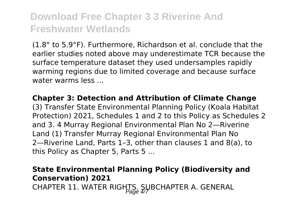(1.8° to 5.9°F). Furthermore, Richardson et al. conclude that the earlier studies noted above may underestimate TCR because the surface temperature dataset they used undersamples rapidly warming regions due to limited coverage and because surface water warms less

**Chapter 3: Detection and Attribution of Climate Change** (3) Transfer State Environmental Planning Policy (Koala Habitat Protection) 2021, Schedules 1 and 2 to this Policy as Schedules 2 and 3. 4 Murray Regional Environmental Plan No 2—Riverine Land (1) Transfer Murray Regional Environmental Plan No 2—Riverine Land, Parts 1–3, other than clauses 1 and 8(a), to this Policy as Chapter 5, Parts 5 ...

### **State Environmental Planning Policy (Biodiversity and Conservation) 2021** CHAPTER 11. WATER RIGHTS. SUBCHAPTER A. GENERAL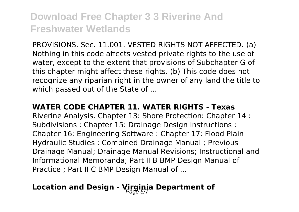PROVISIONS. Sec. 11.001. VESTED RIGHTS NOT AFFECTED. (a) Nothing in this code affects vested private rights to the use of water, except to the extent that provisions of Subchapter G of this chapter might affect these rights. (b) This code does not recognize any riparian right in the owner of any land the title to which passed out of the State of ...

#### **WATER CODE CHAPTER 11. WATER RIGHTS - Texas**

Riverine Analysis. Chapter 13: Shore Protection: Chapter 14 : Subdivisions : Chapter 15: Drainage Design Instructions : Chapter 16: Engineering Software : Chapter 17: Flood Plain Hydraulic Studies : Combined Drainage Manual ; Previous Drainage Manual; Drainage Manual Revisions; Instructional and Informational Memoranda; Part II B BMP Design Manual of Practice ; Part II C BMP Design Manual of ...

## Location and Design - Virginia Department of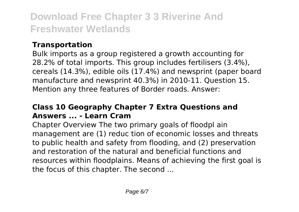### **Transportation**

Bulk imports as a group registered a growth accounting for 28.2% of total imports. This group includes fertilisers (3.4%), cereals (14.3%), edible oils (17.4%) and newsprint (paper board manufacture and newsprint 40.3%) in 2010-11. Question 15. Mention any three features of Border roads. Answer:

### **Class 10 Geography Chapter 7 Extra Questions and Answers ... - Learn Cram**

Chapter Overview The two primary goals of floodpl ain management are (1) reduc tion of economic losses and threats to public health and safety from flooding, and (2) preservation and restoration of the natural and beneficial functions and resources within floodplains. Means of achieving the first goal is the focus of this chapter. The second ...